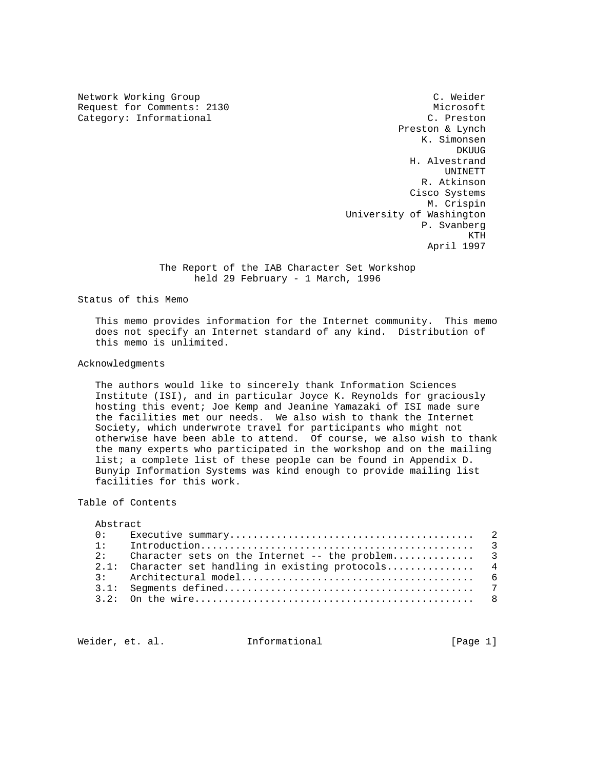Request for Comments: 2130 Microsoft Microsoft Microsoft Microsoft Microsoft Microsoft Microsoft Microsoft Microsoft Microsoft Microsoft Microsoft Microsoft Microsoft Microsoft Microsoft Microsoft Microsoft Microsoft Micro Category: Informational

Network Working Group C. Weider Preston & Lynch K. Simonsen de de la provincia de la provincia de la provincia de la provincia de la provincia de la provincia de la provi H. Alvestrand UNINETT R. Atkinson Cisco Systems M. Crispin University of Washington P. Svanberg KTH April 1997

> The Report of the IAB Character Set Workshop held 29 February - 1 March, 1996

Status of this Memo

 This memo provides information for the Internet community. This memo does not specify an Internet standard of any kind. Distribution of this memo is unlimited.

# Acknowledgments

 The authors would like to sincerely thank Information Sciences Institute (ISI), and in particular Joyce K. Reynolds for graciously hosting this event; Joe Kemp and Jeanine Yamazaki of ISI made sure the facilities met our needs. We also wish to thank the Internet Society, which underwrote travel for participants who might not otherwise have been able to attend. Of course, we also wish to thank the many experts who participated in the workshop and on the mailing list; a complete list of these people can be found in Appendix D. Bunyip Information Systems was kind enough to provide mailing list facilities for this work.

Table of Contents

#### Abstract

| 0: |                                                     |  |
|----|-----------------------------------------------------|--|
| 1: |                                                     |  |
|    | 2: Character sets on the Internet -- the problem 3  |  |
|    | 2.1: Character set handling in existing protocols 4 |  |
|    |                                                     |  |
|    |                                                     |  |
|    |                                                     |  |
|    |                                                     |  |

Weider, et. al. 1nformational [Page 1]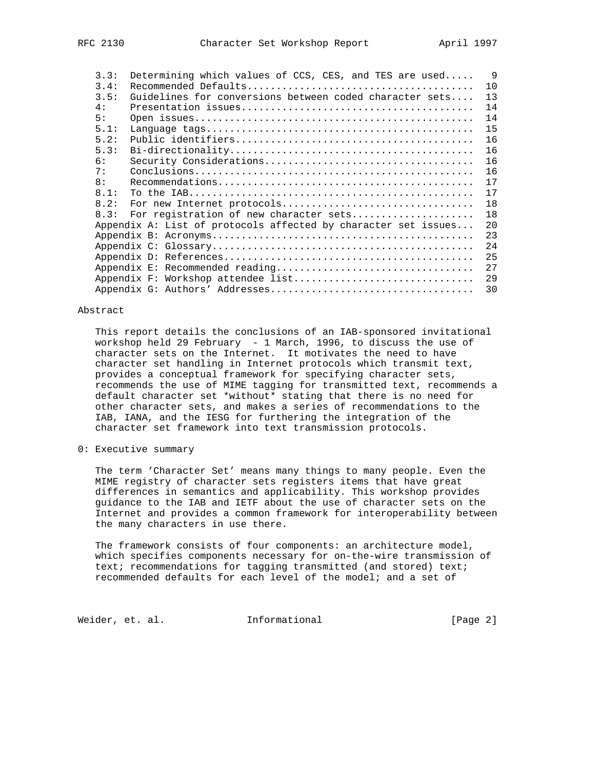| 3.3: | Determining which values of CCS, CES, and TES are used         | -9  |
|------|----------------------------------------------------------------|-----|
| 3.4: |                                                                | 10  |
| 3.5: | Guidelines for conversions between coded character sets        | 13  |
| 4:   |                                                                | 14  |
| 5:   |                                                                | 14  |
| 5.1: |                                                                | 15  |
| 5.2: |                                                                | 16  |
| 5.3: |                                                                | 16  |
| 6:   |                                                                | 16  |
| 7:   |                                                                | 16  |
| 8:   |                                                                | 17  |
| 8.1: |                                                                | 17  |
| 8.2: | For new Internet protocols                                     | 18  |
| 8.3: | For registration of new character sets                         | 18  |
|      | Appendix A: List of protocols affected by character set issues | 2.0 |
|      |                                                                | 23  |

 Appendix B: Acronyms............................................. 23 Appendix C: Glossary............................................. 24 Appendix D: References........................................... 25 Appendix E: Recommended reading.................................. 27 Appendix F: Workshop attendee list............................... 29 Appendix G: Authors' Addresses................................... 30

### Abstract

 This report details the conclusions of an IAB-sponsored invitational workshop held 29 February - 1 March, 1996, to discuss the use of character sets on the Internet. It motivates the need to have character set handling in Internet protocols which transmit text, provides a conceptual framework for specifying character sets, recommends the use of MIME tagging for transmitted text, recommends a default character set \*without\* stating that there is no need for other character sets, and makes a series of recommendations to the IAB, IANA, and the IESG for furthering the integration of the character set framework into text transmission protocols.

0: Executive summary

 The term 'Character Set' means many things to many people. Even the MIME registry of character sets registers items that have great differences in semantics and applicability. This workshop provides guidance to the IAB and IETF about the use of character sets on the Internet and provides a common framework for interoperability between the many characters in use there.

 The framework consists of four components: an architecture model, which specifies components necessary for on-the-wire transmission of text; recommendations for tagging transmitted (and stored) text; recommended defaults for each level of the model; and a set of

Weider, et. al. **Informational** [Page 2]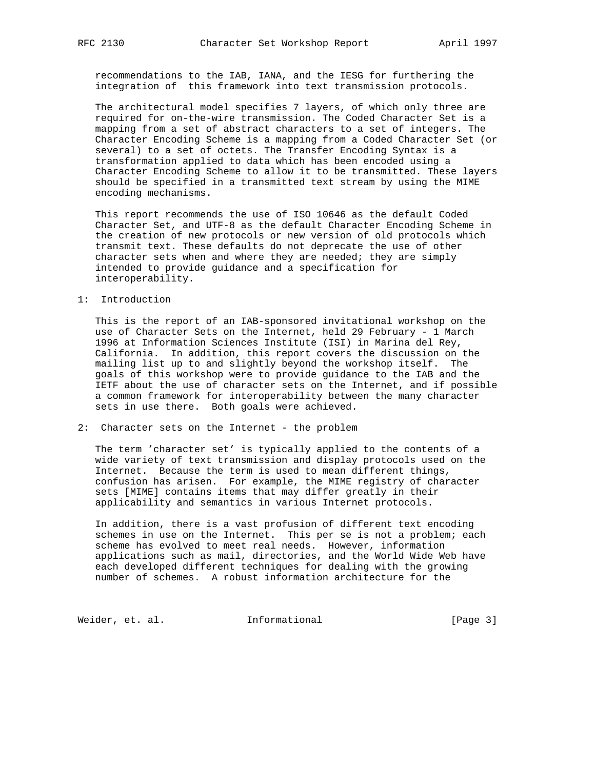recommendations to the IAB, IANA, and the IESG for furthering the integration of this framework into text transmission protocols.

 The architectural model specifies 7 layers, of which only three are required for on-the-wire transmission. The Coded Character Set is a mapping from a set of abstract characters to a set of integers. The Character Encoding Scheme is a mapping from a Coded Character Set (or several) to a set of octets. The Transfer Encoding Syntax is a transformation applied to data which has been encoded using a Character Encoding Scheme to allow it to be transmitted. These layers should be specified in a transmitted text stream by using the MIME encoding mechanisms.

 This report recommends the use of ISO 10646 as the default Coded Character Set, and UTF-8 as the default Character Encoding Scheme in the creation of new protocols or new version of old protocols which transmit text. These defaults do not deprecate the use of other character sets when and where they are needed; they are simply intended to provide guidance and a specification for interoperability.

## 1: Introduction

 This is the report of an IAB-sponsored invitational workshop on the use of Character Sets on the Internet, held 29 February - 1 March 1996 at Information Sciences Institute (ISI) in Marina del Rey, California. In addition, this report covers the discussion on the mailing list up to and slightly beyond the workshop itself. The goals of this workshop were to provide guidance to the IAB and the IETF about the use of character sets on the Internet, and if possible a common framework for interoperability between the many character sets in use there. Both goals were achieved.

2: Character sets on the Internet - the problem

 The term 'character set' is typically applied to the contents of a wide variety of text transmission and display protocols used on the Internet. Because the term is used to mean different things, confusion has arisen. For example, the MIME registry of character sets [MIME] contains items that may differ greatly in their applicability and semantics in various Internet protocols.

 In addition, there is a vast profusion of different text encoding schemes in use on the Internet. This per se is not a problem; each scheme has evolved to meet real needs. However, information applications such as mail, directories, and the World Wide Web have each developed different techniques for dealing with the growing number of schemes. A robust information architecture for the

Weider, et. al. 1nformational 1999 [Page 3]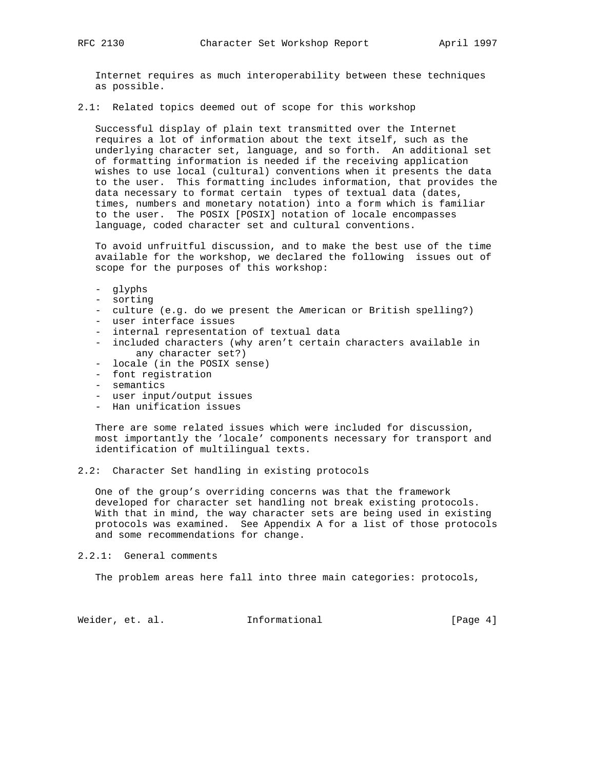Internet requires as much interoperability between these techniques as possible.

## 2.1: Related topics deemed out of scope for this workshop

 Successful display of plain text transmitted over the Internet requires a lot of information about the text itself, such as the underlying character set, language, and so forth. An additional set of formatting information is needed if the receiving application wishes to use local (cultural) conventions when it presents the data to the user. This formatting includes information, that provides the data necessary to format certain types of textual data (dates, times, numbers and monetary notation) into a form which is familiar to the user. The POSIX [POSIX] notation of locale encompasses language, coded character set and cultural conventions.

 To avoid unfruitful discussion, and to make the best use of the time available for the workshop, we declared the following issues out of scope for the purposes of this workshop:

- glyphs
- sorting
- culture (e.g. do we present the American or British spelling?)
- user interface issues
- internal representation of textual data
- included characters (why aren't certain characters available in any character set?)
- locale (in the POSIX sense)
- font registration
- semantics
- user input/output issues
- Han unification issues

 There are some related issues which were included for discussion, most importantly the 'locale' components necessary for transport and identification of multilingual texts.

2.2: Character Set handling in existing protocols

 One of the group's overriding concerns was that the framework developed for character set handling not break existing protocols. With that in mind, the way character sets are being used in existing protocols was examined. See Appendix A for a list of those protocols and some recommendations for change.

#### 2.2.1: General comments

The problem areas here fall into three main categories: protocols,

Weider, et. al. **Informational** [Page 4]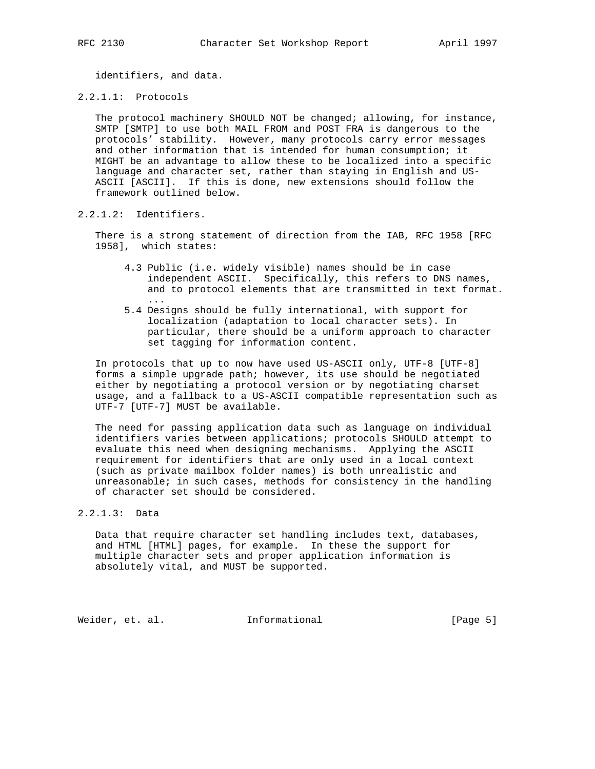identifiers, and data.

2.2.1.1: Protocols

 The protocol machinery SHOULD NOT be changed; allowing, for instance, SMTP [SMTP] to use both MAIL FROM and POST FRA is dangerous to the protocols' stability. However, many protocols carry error messages and other information that is intended for human consumption; it MIGHT be an advantage to allow these to be localized into a specific language and character set, rather than staying in English and US- ASCII [ASCII]. If this is done, new extensions should follow the framework outlined below.

2.2.1.2: Identifiers.

 There is a strong statement of direction from the IAB, RFC 1958 [RFC 1958], which states:

- 4.3 Public (i.e. widely visible) names should be in case independent ASCII. Specifically, this refers to DNS names, and to protocol elements that are transmitted in text format. ...
- 5.4 Designs should be fully international, with support for localization (adaptation to local character sets). In particular, there should be a uniform approach to character set tagging for information content.

 In protocols that up to now have used US-ASCII only, UTF-8 [UTF-8] forms a simple upgrade path; however, its use should be negotiated either by negotiating a protocol version or by negotiating charset usage, and a fallback to a US-ASCII compatible representation such as UTF-7 [UTF-7] MUST be available.

 The need for passing application data such as language on individual identifiers varies between applications; protocols SHOULD attempt to evaluate this need when designing mechanisms. Applying the ASCII requirement for identifiers that are only used in a local context (such as private mailbox folder names) is both unrealistic and unreasonable; in such cases, methods for consistency in the handling of character set should be considered.

# 2.2.1.3: Data

 Data that require character set handling includes text, databases, and HTML [HTML] pages, for example. In these the support for multiple character sets and proper application information is absolutely vital, and MUST be supported.

Weider, et. al. **Informational** [Page 5]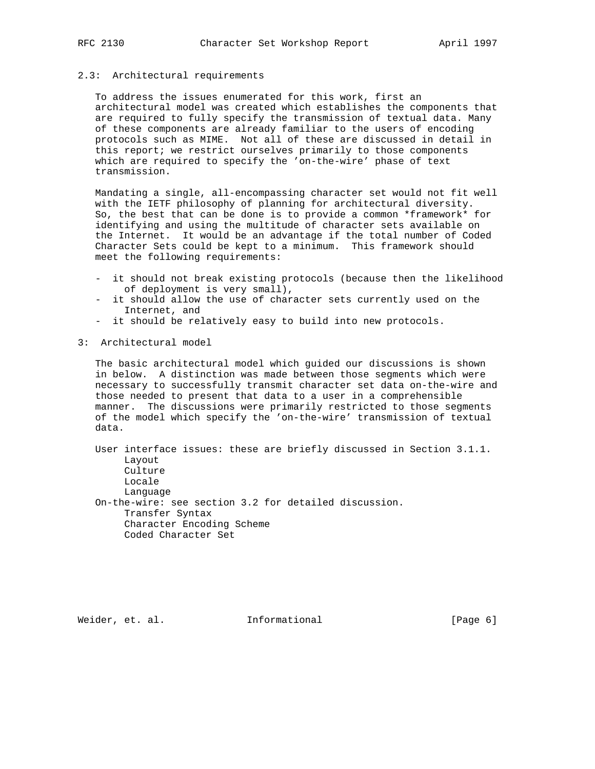# 2.3: Architectural requirements

 To address the issues enumerated for this work, first an architectural model was created which establishes the components that are required to fully specify the transmission of textual data. Many of these components are already familiar to the users of encoding protocols such as MIME. Not all of these are discussed in detail in this report; we restrict ourselves primarily to those components which are required to specify the 'on-the-wire' phase of text transmission.

 Mandating a single, all-encompassing character set would not fit well with the IETF philosophy of planning for architectural diversity. So, the best that can be done is to provide a common \*framework\* for identifying and using the multitude of character sets available on the Internet. It would be an advantage if the total number of Coded Character Sets could be kept to a minimum. This framework should meet the following requirements:

- it should not break existing protocols (because then the likelihood of deployment is very small),
- it should allow the use of character sets currently used on the Internet, and
- it should be relatively easy to build into new protocols.
- 3: Architectural model

 The basic architectural model which guided our discussions is shown in below. A distinction was made between those segments which were necessary to successfully transmit character set data on-the-wire and those needed to present that data to a user in a comprehensible manner. The discussions were primarily restricted to those segments of the model which specify the 'on-the-wire' transmission of textual data.

 User interface issues: these are briefly discussed in Section 3.1.1. Layout Culture Locale Language On-the-wire: see section 3.2 for detailed discussion. Transfer Syntax Character Encoding Scheme Coded Character Set

Weider, et. al. **Informational** [Page 6]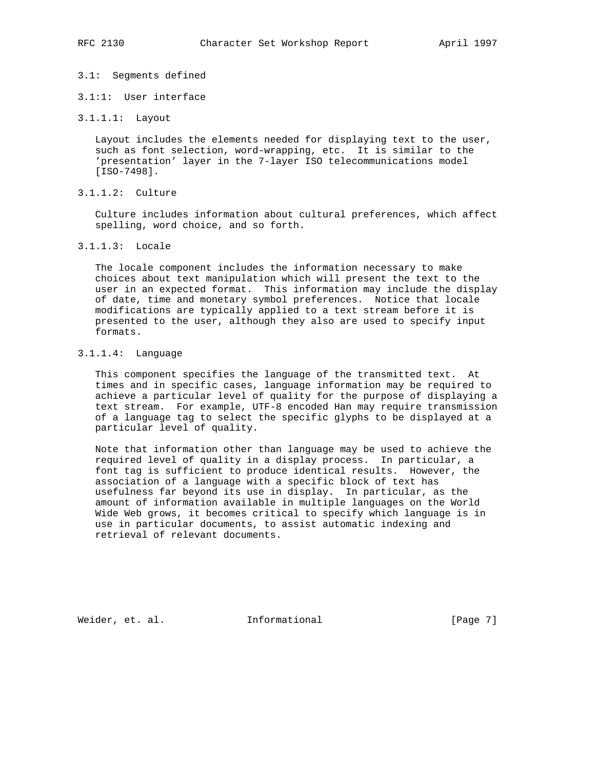# 3.1: Segments defined

3.1:1: User interface

## 3.1.1.1: Layout

 Layout includes the elements needed for displaying text to the user, such as font selection, word-wrapping, etc. It is similar to the 'presentation' layer in the 7-layer ISO telecommunications model [ISO-7498].

# 3.1.1.2: Culture

 Culture includes information about cultural preferences, which affect spelling, word choice, and so forth.

# 3.1.1.3: Locale

 The locale component includes the information necessary to make choices about text manipulation which will present the text to the user in an expected format. This information may include the display of date, time and monetary symbol preferences. Notice that locale modifications are typically applied to a text stream before it is presented to the user, although they also are used to specify input formats.

# 3.1.1.4: Language

 This component specifies the language of the transmitted text. At times and in specific cases, language information may be required to achieve a particular level of quality for the purpose of displaying a text stream. For example, UTF-8 encoded Han may require transmission of a language tag to select the specific glyphs to be displayed at a particular level of quality.

 Note that information other than language may be used to achieve the required level of quality in a display process. In particular, a font tag is sufficient to produce identical results. However, the association of a language with a specific block of text has usefulness far beyond its use in display. In particular, as the amount of information available in multiple languages on the World Wide Web grows, it becomes critical to specify which language is in use in particular documents, to assist automatic indexing and retrieval of relevant documents.

Weider, et. al. **Informational** [Page 7]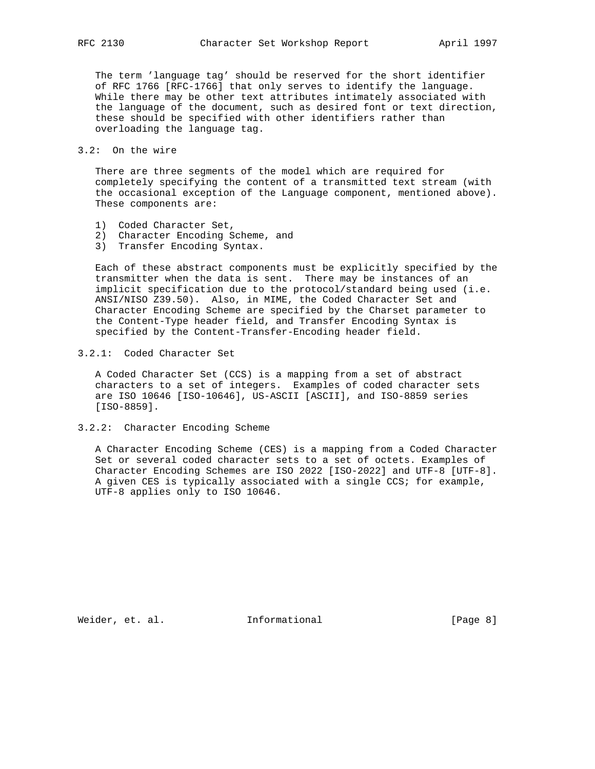The term 'language tag' should be reserved for the short identifier of RFC 1766 [RFC-1766] that only serves to identify the language. While there may be other text attributes intimately associated with the language of the document, such as desired font or text direction, these should be specified with other identifiers rather than overloading the language tag.

## 3.2: On the wire

 There are three segments of the model which are required for completely specifying the content of a transmitted text stream (with the occasional exception of the Language component, mentioned above). These components are:

- 1) Coded Character Set,
- 2) Character Encoding Scheme, and
- 3) Transfer Encoding Syntax.

 Each of these abstract components must be explicitly specified by the transmitter when the data is sent. There may be instances of an implicit specification due to the protocol/standard being used (i.e. ANSI/NISO Z39.50). Also, in MIME, the Coded Character Set and Character Encoding Scheme are specified by the Charset parameter to the Content-Type header field, and Transfer Encoding Syntax is specified by the Content-Transfer-Encoding header field.

# 3.2.1: Coded Character Set

 A Coded Character Set (CCS) is a mapping from a set of abstract characters to a set of integers. Examples of coded character sets are ISO 10646 [ISO-10646], US-ASCII [ASCII], and ISO-8859 series [ISO-8859].

## 3.2.2: Character Encoding Scheme

 A Character Encoding Scheme (CES) is a mapping from a Coded Character Set or several coded character sets to a set of octets. Examples of Character Encoding Schemes are ISO 2022 [ISO-2022] and UTF-8 [UTF-8]. A given CES is typically associated with a single CCS; for example, UTF-8 applies only to ISO 10646.

Weider, et. al. **Informational** [Page 8]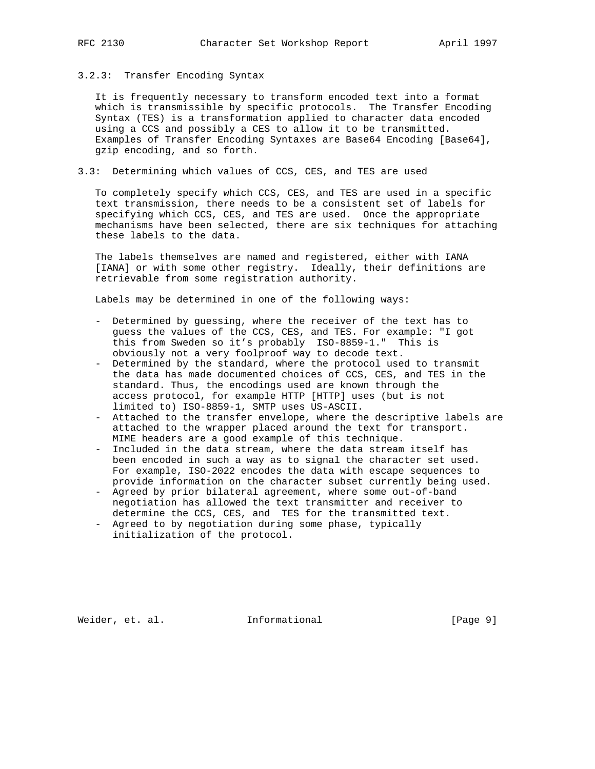# 3.2.3: Transfer Encoding Syntax

 It is frequently necessary to transform encoded text into a format which is transmissible by specific protocols. The Transfer Encoding Syntax (TES) is a transformation applied to character data encoded using a CCS and possibly a CES to allow it to be transmitted. Examples of Transfer Encoding Syntaxes are Base64 Encoding [Base64], gzip encoding, and so forth.

# 3.3: Determining which values of CCS, CES, and TES are used

 To completely specify which CCS, CES, and TES are used in a specific text transmission, there needs to be a consistent set of labels for specifying which CCS, CES, and TES are used. Once the appropriate mechanisms have been selected, there are six techniques for attaching these labels to the data.

 The labels themselves are named and registered, either with IANA [IANA] or with some other registry. Ideally, their definitions are retrievable from some registration authority.

Labels may be determined in one of the following ways:

- Determined by guessing, where the receiver of the text has to guess the values of the CCS, CES, and TES. For example: "I got this from Sweden so it's probably ISO-8859-1." This is obviously not a very foolproof way to decode text.
	- Determined by the standard, where the protocol used to transmit the data has made documented choices of CCS, CES, and TES in the standard. Thus, the encodings used are known through the access protocol, for example HTTP [HTTP] uses (but is not limited to) ISO-8859-1, SMTP uses US-ASCII.
	- Attached to the transfer envelope, where the descriptive labels are attached to the wrapper placed around the text for transport. MIME headers are a good example of this technique.
	- Included in the data stream, where the data stream itself has been encoded in such a way as to signal the character set used. For example, ISO-2022 encodes the data with escape sequences to provide information on the character subset currently being used.
	- Agreed by prior bilateral agreement, where some out-of-band negotiation has allowed the text transmitter and receiver to determine the CCS, CES, and TES for the transmitted text.
	- Agreed to by negotiation during some phase, typically initialization of the protocol.

Weider, et. al. **Informational** [Page 9]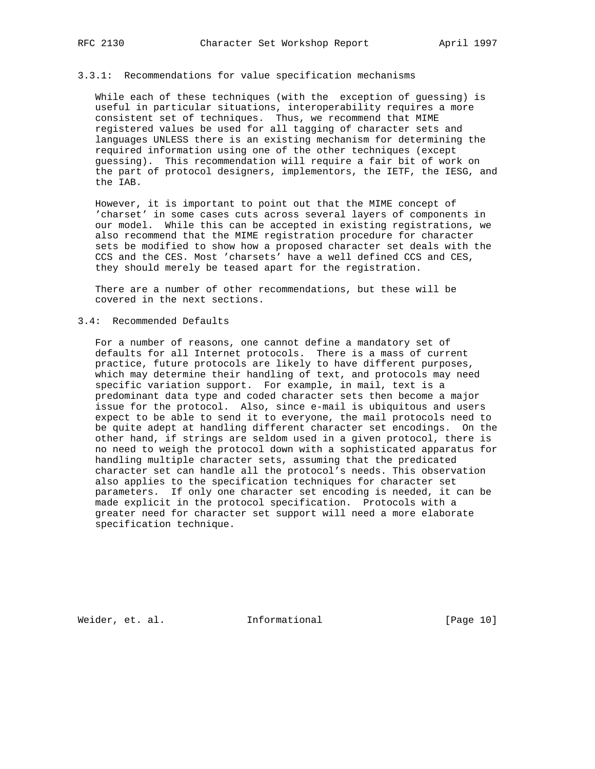# 3.3.1: Recommendations for value specification mechanisms

 While each of these techniques (with the exception of guessing) is useful in particular situations, interoperability requires a more consistent set of techniques. Thus, we recommend that MIME registered values be used for all tagging of character sets and languages UNLESS there is an existing mechanism for determining the required information using one of the other techniques (except guessing). This recommendation will require a fair bit of work on the part of protocol designers, implementors, the IETF, the IESG, and the IAB.

 However, it is important to point out that the MIME concept of 'charset' in some cases cuts across several layers of components in our model. While this can be accepted in existing registrations, we also recommend that the MIME registration procedure for character sets be modified to show how a proposed character set deals with the CCS and the CES. Most 'charsets' have a well defined CCS and CES, they should merely be teased apart for the registration.

 There are a number of other recommendations, but these will be covered in the next sections.

## 3.4: Recommended Defaults

 For a number of reasons, one cannot define a mandatory set of defaults for all Internet protocols. There is a mass of current practice, future protocols are likely to have different purposes, which may determine their handling of text, and protocols may need specific variation support. For example, in mail, text is a predominant data type and coded character sets then become a major issue for the protocol. Also, since e-mail is ubiquitous and users expect to be able to send it to everyone, the mail protocols need to be quite adept at handling different character set encodings. On the other hand, if strings are seldom used in a given protocol, there is no need to weigh the protocol down with a sophisticated apparatus for handling multiple character sets, assuming that the predicated character set can handle all the protocol's needs. This observation also applies to the specification techniques for character set parameters. If only one character set encoding is needed, it can be made explicit in the protocol specification. Protocols with a greater need for character set support will need a more elaborate specification technique.

Weider, et. al. **Informational** [Page 10]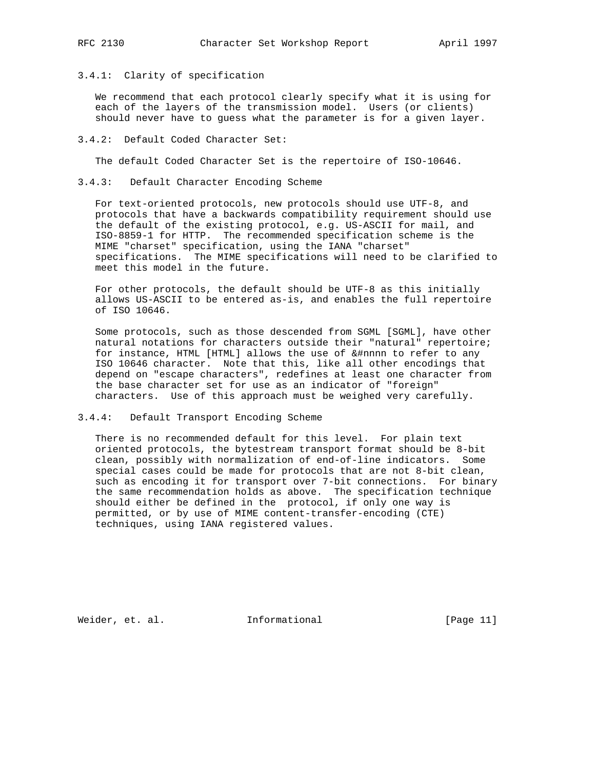# 3.4.1: Clarity of specification

 We recommend that each protocol clearly specify what it is using for each of the layers of the transmission model. Users (or clients) should never have to guess what the parameter is for a given layer.

## 3.4.2: Default Coded Character Set:

The default Coded Character Set is the repertoire of ISO-10646.

### 3.4.3: Default Character Encoding Scheme

 For text-oriented protocols, new protocols should use UTF-8, and protocols that have a backwards compatibility requirement should use the default of the existing protocol, e.g. US-ASCII for mail, and ISO-8859-1 for HTTP. The recommended specification scheme is the MIME "charset" specification, using the IANA "charset" specifications. The MIME specifications will need to be clarified to meet this model in the future.

 For other protocols, the default should be UTF-8 as this initially allows US-ASCII to be entered as-is, and enables the full repertoire of ISO 10646.

 Some protocols, such as those descended from SGML [SGML], have other natural notations for characters outside their "natural" repertoire; for instance, HTML [HTML] allows the use of &#nnnn to refer to any ISO 10646 character. Note that this, like all other encodings that depend on "escape characters", redefines at least one character from the base character set for use as an indicator of "foreign" characters. Use of this approach must be weighed very carefully.

#### 3.4.4: Default Transport Encoding Scheme

 There is no recommended default for this level. For plain text oriented protocols, the bytestream transport format should be 8-bit clean, possibly with normalization of end-of-line indicators. Some special cases could be made for protocols that are not 8-bit clean, such as encoding it for transport over 7-bit connections. For binary the same recommendation holds as above. The specification technique should either be defined in the protocol, if only one way is permitted, or by use of MIME content-transfer-encoding (CTE) techniques, using IANA registered values.

Weider, et. al. Informational [Page 11]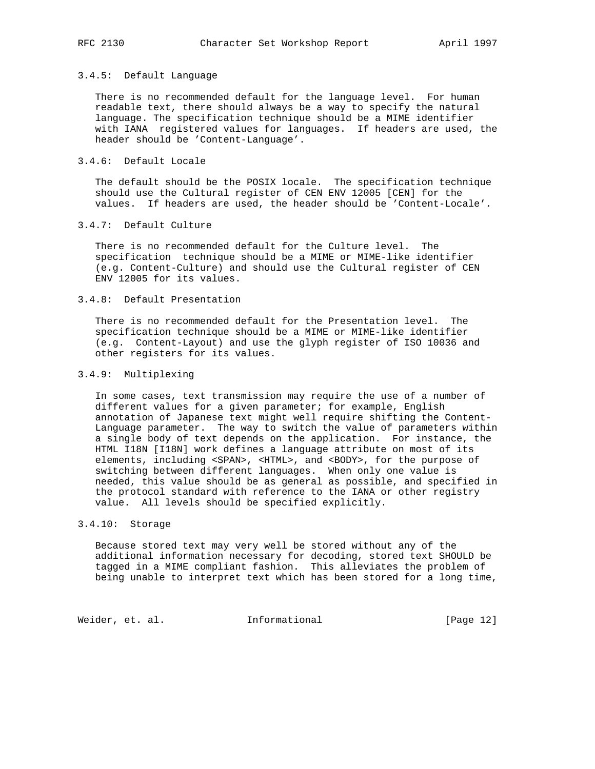# 3.4.5: Default Language

 There is no recommended default for the language level. For human readable text, there should always be a way to specify the natural language. The specification technique should be a MIME identifier with IANA registered values for languages. If headers are used, the header should be 'Content-Language'.

## 3.4.6: Default Locale

 The default should be the POSIX locale. The specification technique should use the Cultural register of CEN ENV 12005 [CEN] for the values. If headers are used, the header should be 'Content-Locale'.

# 3.4.7: Default Culture

 There is no recommended default for the Culture level. The specification technique should be a MIME or MIME-like identifier (e.g. Content-Culture) and should use the Cultural register of CEN ENV 12005 for its values.

# 3.4.8: Default Presentation

 There is no recommended default for the Presentation level. The specification technique should be a MIME or MIME-like identifier (e.g. Content-Layout) and use the glyph register of ISO 10036 and other registers for its values.

# 3.4.9: Multiplexing

 In some cases, text transmission may require the use of a number of different values for a given parameter; for example, English annotation of Japanese text might well require shifting the Content- Language parameter. The way to switch the value of parameters within a single body of text depends on the application. For instance, the HTML I18N [I18N] work defines a language attribute on most of its elements, including <SPAN>, <HTML>, and <BODY>, for the purpose of switching between different languages. When only one value is needed, this value should be as general as possible, and specified in the protocol standard with reference to the IANA or other registry value. All levels should be specified explicitly.

#### 3.4.10: Storage

 Because stored text may very well be stored without any of the additional information necessary for decoding, stored text SHOULD be tagged in a MIME compliant fashion. This alleviates the problem of being unable to interpret text which has been stored for a long time,

Weider, et. al. 1nformational 1999 [Page 12]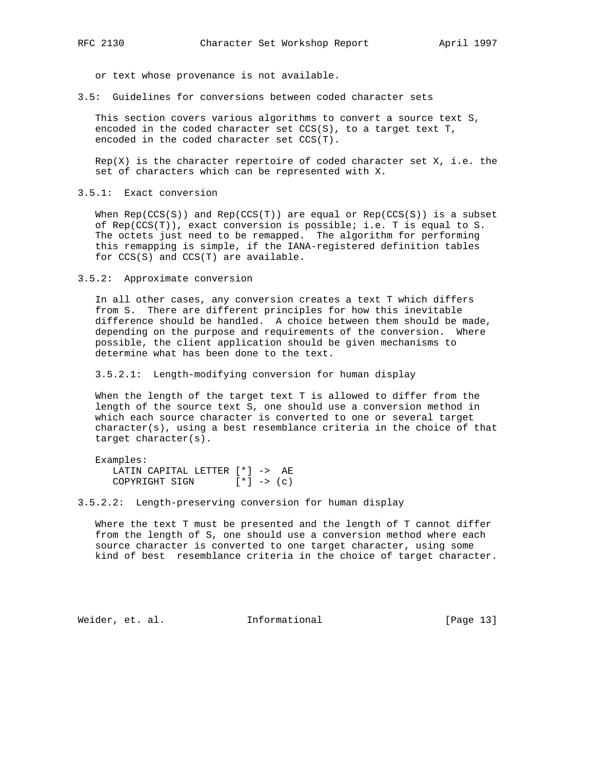or text whose provenance is not available.

3.5: Guidelines for conversions between coded character sets

 This section covers various algorithms to convert a source text S, encoded in the coded character set CCS(S), to a target text T, encoded in the coded character set CCS(T).

 $Rep(X)$  is the character repertoire of coded character set X, i.e. the set of characters which can be represented with X.

3.5.1: Exact conversion

When  $Rep(CCS(S))$  and  $Rep(CCS(T))$  are equal or  $Rep(CCS(S))$  is a subset of  $Rep(CCS(T))$ , exact conversion is possible; i.e. T is equal to S. The octets just need to be remapped. The algorithm for performing this remapping is simple, if the IANA-registered definition tables for CCS(S) and CCS(T) are available.

3.5.2: Approximate conversion

 In all other cases, any conversion creates a text T which differs from S. There are different principles for how this inevitable difference should be handled. A choice between them should be made, depending on the purpose and requirements of the conversion. Where possible, the client application should be given mechanisms to determine what has been done to the text.

3.5.2.1: Length-modifying conversion for human display

 When the length of the target text T is allowed to differ from the length of the source text S, one should use a conversion method in which each source character is converted to one or several target character(s), using a best resemblance criteria in the choice of that target character(s).

 Examples: LATIN CAPITAL LETTER [\*] -> AE COPYRIGHT SIGN  $[*] \rightarrow (c)$ 

## 3.5.2.2: Length-preserving conversion for human display

 Where the text T must be presented and the length of T cannot differ from the length of S, one should use a conversion method where each source character is converted to one target character, using some kind of best resemblance criteria in the choice of target character.

Weider, et. al. **Informational** [Page 13]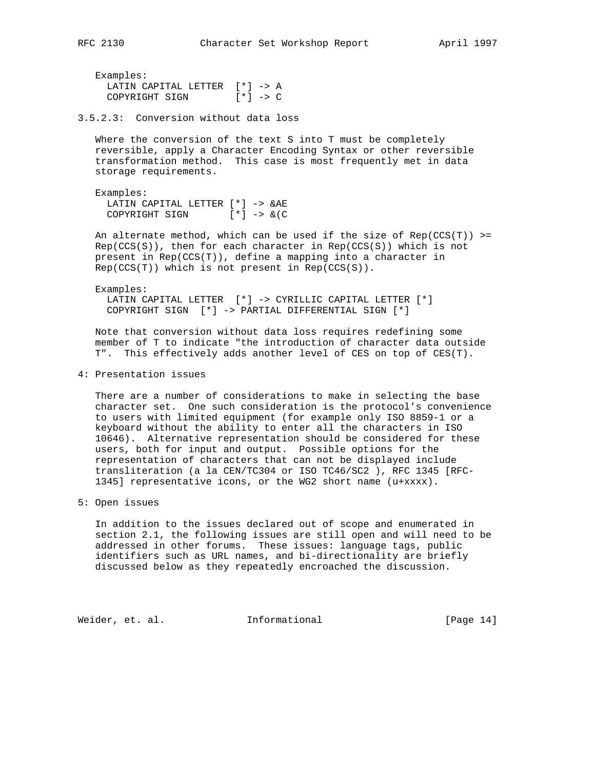Examples: LATIN CAPITAL LETTER [\*] -> A COPYRIGHT SIGN [\*] -> C

3.5.2.3: Conversion without data loss

 Where the conversion of the text S into T must be completely reversible, apply a Character Encoding Syntax or other reversible transformation method. This case is most frequently met in data storage requirements.

 Examples: LATIN CAPITAL LETTER [\*] -> &AE COPYRIGHT SIGN [\*] -> &(C

An alternate method, which can be used if the size of  $Rep(CCS(T))$  >=  $Rep(CCS(S))$ , then for each character in  $Rep(CCS(S))$  which is not present in Rep(CCS(T)), define a mapping into a character in  $Rep(CCS(T))$  which is not present in  $Rep(CCS(S))$ .

 Examples: LATIN CAPITAL LETTER [\*] -> CYRILLIC CAPITAL LETTER [\*] COPYRIGHT SIGN [\*] -> PARTIAL DIFFERENTIAL SIGN [\*]

 Note that conversion without data loss requires redefining some member of T to indicate "the introduction of character data outside T". This effectively adds another level of CES on top of CES(T).

4: Presentation issues

 There are a number of considerations to make in selecting the base character set. One such consideration is the protocol's convenience to users with limited equipment (for example only ISO 8859-1 or a keyboard without the ability to enter all the characters in ISO 10646). Alternative representation should be considered for these users, both for input and output. Possible options for the representation of characters that can not be displayed include transliteration (a la CEN/TC304 or ISO TC46/SC2 ), RFC 1345 [RFC- 1345] representative icons, or the WG2 short name (u+xxxx).

5: Open issues

 In addition to the issues declared out of scope and enumerated in section 2.1, the following issues are still open and will need to be addressed in other forums. These issues: language tags, public identifiers such as URL names, and bi-directionality are briefly discussed below as they repeatedly encroached the discussion.

Weider, et. al. 10. Informational 1999 [Page 14]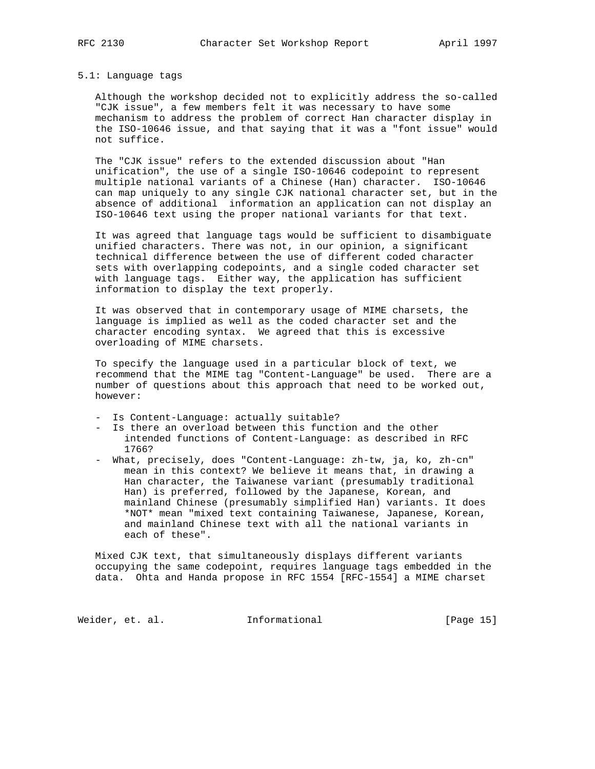#### 5.1: Language tags

 Although the workshop decided not to explicitly address the so-called "CJK issue", a few members felt it was necessary to have some mechanism to address the problem of correct Han character display in the ISO-10646 issue, and that saying that it was a "font issue" would not suffice.

 The "CJK issue" refers to the extended discussion about "Han unification", the use of a single ISO-10646 codepoint to represent multiple national variants of a Chinese (Han) character. ISO-10646 can map uniquely to any single CJK national character set, but in the absence of additional information an application can not display an ISO-10646 text using the proper national variants for that text.

 It was agreed that language tags would be sufficient to disambiguate unified characters. There was not, in our opinion, a significant technical difference between the use of different coded character sets with overlapping codepoints, and a single coded character set with language tags. Either way, the application has sufficient information to display the text properly.

 It was observed that in contemporary usage of MIME charsets, the language is implied as well as the coded character set and the character encoding syntax. We agreed that this is excessive overloading of MIME charsets.

 To specify the language used in a particular block of text, we recommend that the MIME tag "Content-Language" be used. There are a number of questions about this approach that need to be worked out, however:

- Is Content-Language: actually suitable?
- Is there an overload between this function and the other intended functions of Content-Language: as described in RFC 1766?
- What, precisely, does "Content-Language: zh-tw, ja, ko, zh-cn" mean in this context? We believe it means that, in drawing a Han character, the Taiwanese variant (presumably traditional Han) is preferred, followed by the Japanese, Korean, and mainland Chinese (presumably simplified Han) variants. It does \*NOT\* mean "mixed text containing Taiwanese, Japanese, Korean, and mainland Chinese text with all the national variants in each of these".

 Mixed CJK text, that simultaneously displays different variants occupying the same codepoint, requires language tags embedded in the data. Ohta and Handa propose in RFC 1554 [RFC-1554] a MIME charset

Weider, et. al. 1nformational 1999 [Page 15]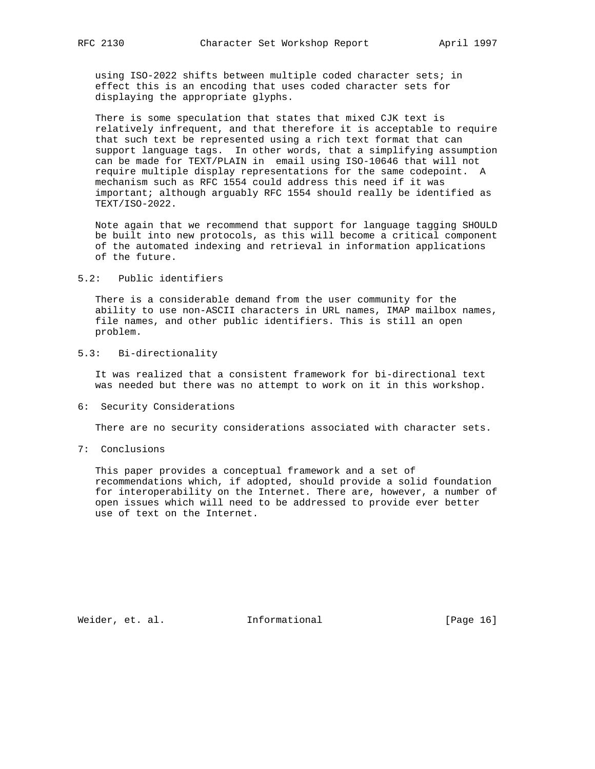using ISO-2022 shifts between multiple coded character sets; in effect this is an encoding that uses coded character sets for displaying the appropriate glyphs.

 There is some speculation that states that mixed CJK text is relatively infrequent, and that therefore it is acceptable to require that such text be represented using a rich text format that can support language tags. In other words, that a simplifying assumption can be made for TEXT/PLAIN in email using ISO-10646 that will not require multiple display representations for the same codepoint. A mechanism such as RFC 1554 could address this need if it was important; although arguably RFC 1554 should really be identified as TEXT/ISO-2022.

 Note again that we recommend that support for language tagging SHOULD be built into new protocols, as this will become a critical component of the automated indexing and retrieval in information applications of the future.

5.2: Public identifiers

 There is a considerable demand from the user community for the ability to use non-ASCII characters in URL names, IMAP mailbox names, file names, and other public identifiers. This is still an open problem.

5.3: Bi-directionality

 It was realized that a consistent framework for bi-directional text was needed but there was no attempt to work on it in this workshop.

6: Security Considerations

There are no security considerations associated with character sets.

7: Conclusions

 This paper provides a conceptual framework and a set of recommendations which, if adopted, should provide a solid foundation for interoperability on the Internet. There are, however, a number of open issues which will need to be addressed to provide ever better use of text on the Internet.

Weider, et. al. **Informational** [Page 16]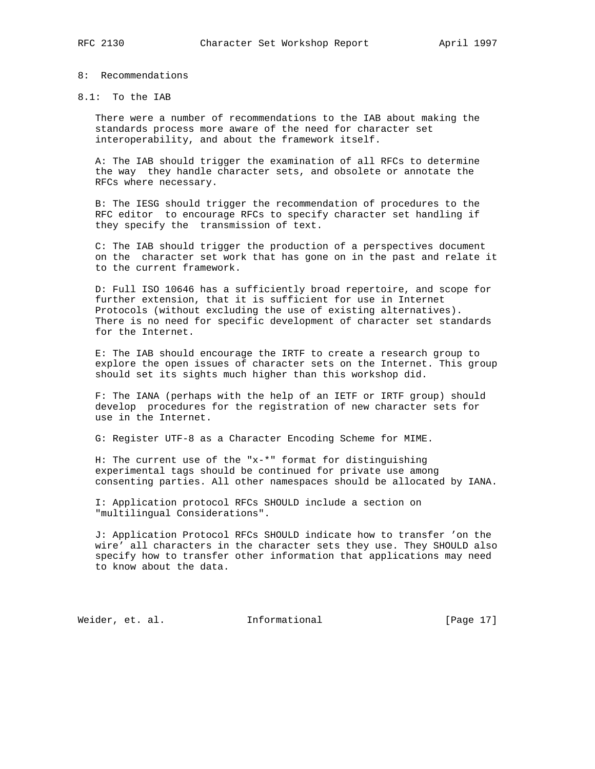## 8: Recommendations

## 8.1: To the IAB

 There were a number of recommendations to the IAB about making the standards process more aware of the need for character set interoperability, and about the framework itself.

 A: The IAB should trigger the examination of all RFCs to determine the way they handle character sets, and obsolete or annotate the RFCs where necessary.

 B: The IESG should trigger the recommendation of procedures to the RFC editor to encourage RFCs to specify character set handling if they specify the transmission of text.

 C: The IAB should trigger the production of a perspectives document on the character set work that has gone on in the past and relate it to the current framework.

 D: Full ISO 10646 has a sufficiently broad repertoire, and scope for further extension, that it is sufficient for use in Internet Protocols (without excluding the use of existing alternatives). There is no need for specific development of character set standards for the Internet.

 E: The IAB should encourage the IRTF to create a research group to explore the open issues of character sets on the Internet. This group should set its sights much higher than this workshop did.

 F: The IANA (perhaps with the help of an IETF or IRTF group) should develop procedures for the registration of new character sets for use in the Internet.

G: Register UTF-8 as a Character Encoding Scheme for MIME.

 H: The current use of the "x-\*" format for distinguishing experimental tags should be continued for private use among consenting parties. All other namespaces should be allocated by IANA.

 I: Application protocol RFCs SHOULD include a section on "multilingual Considerations".

 J: Application Protocol RFCs SHOULD indicate how to transfer 'on the wire' all characters in the character sets they use. They SHOULD also specify how to transfer other information that applications may need to know about the data.

Weider, et. al. **Informational** [Page 17]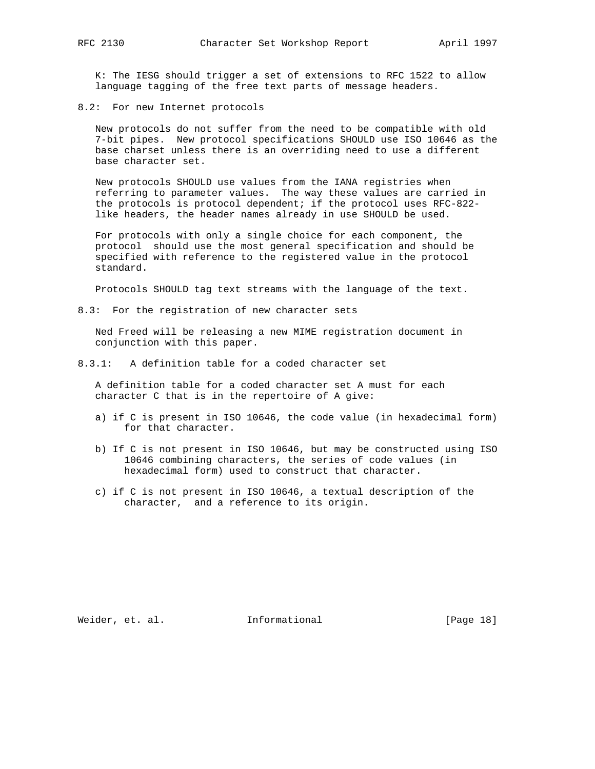K: The IESG should trigger a set of extensions to RFC 1522 to allow language tagging of the free text parts of message headers.

8.2: For new Internet protocols

 New protocols do not suffer from the need to be compatible with old 7-bit pipes. New protocol specifications SHOULD use ISO 10646 as the base charset unless there is an overriding need to use a different base character set.

 New protocols SHOULD use values from the IANA registries when referring to parameter values. The way these values are carried in the protocols is protocol dependent; if the protocol uses RFC-822 like headers, the header names already in use SHOULD be used.

 For protocols with only a single choice for each component, the protocol should use the most general specification and should be specified with reference to the registered value in the protocol standard.

Protocols SHOULD tag text streams with the language of the text.

8.3: For the registration of new character sets

 Ned Freed will be releasing a new MIME registration document in conjunction with this paper.

8.3.1: A definition table for a coded character set

 A definition table for a coded character set A must for each character C that is in the repertoire of A give:

- a) if C is present in ISO 10646, the code value (in hexadecimal form) for that character.
- b) If C is not present in ISO 10646, but may be constructed using ISO 10646 combining characters, the series of code values (in hexadecimal form) used to construct that character.
- c) if C is not present in ISO 10646, a textual description of the character, and a reference to its origin.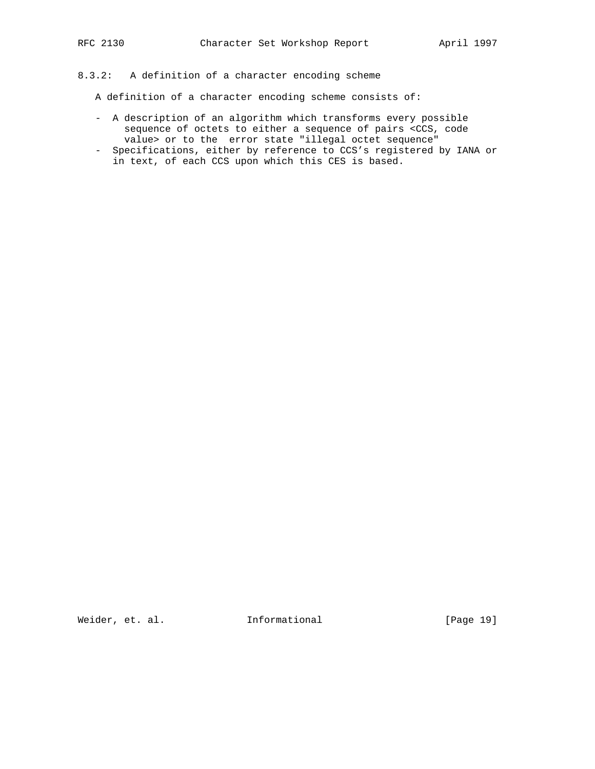8.3.2: A definition of a character encoding scheme

A definition of a character encoding scheme consists of:

- A description of an algorithm which transforms every possible sequence of octets to either a sequence of pairs <CCS, code value> or to the error state "illegal octet sequence"
- Specifications, either by reference to CCS's registered by IANA or in text, of each CCS upon which this CES is based.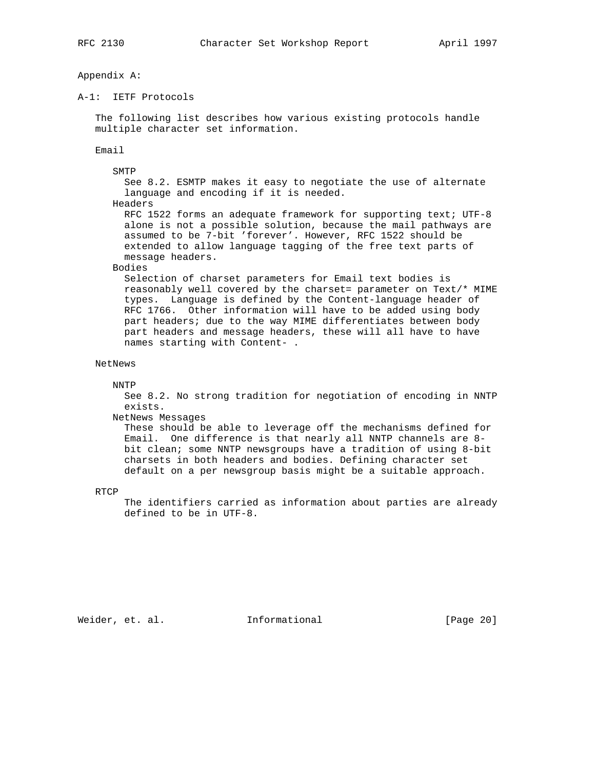# Appendix A:

A-1: IETF Protocols

 The following list describes how various existing protocols handle multiple character set information.

#### Email

#### SMTP

 See 8.2. ESMTP makes it easy to negotiate the use of alternate language and encoding if it is needed.

Headers

 RFC 1522 forms an adequate framework for supporting text; UTF-8 alone is not a possible solution, because the mail pathways are assumed to be 7-bit 'forever'. However, RFC 1522 should be extended to allow language tagging of the free text parts of message headers.

#### Bodies

 Selection of charset parameters for Email text bodies is reasonably well covered by the charset= parameter on Text/\* MIME types. Language is defined by the Content-language header of RFC 1766. Other information will have to be added using body part headers; due to the way MIME differentiates between body part headers and message headers, these will all have to have names starting with Content- .

## NetNews

#### NNTP

 See 8.2. No strong tradition for negotiation of encoding in NNTP exists.

NetNews Messages

 These should be able to leverage off the mechanisms defined for Email. One difference is that nearly all NNTP channels are 8 bit clean; some NNTP newsgroups have a tradition of using 8-bit charsets in both headers and bodies. Defining character set default on a per newsgroup basis might be a suitable approach.

RTCP

 The identifiers carried as information about parties are already defined to be in UTF-8.

Weider, et. al. **Informational** [Page 20]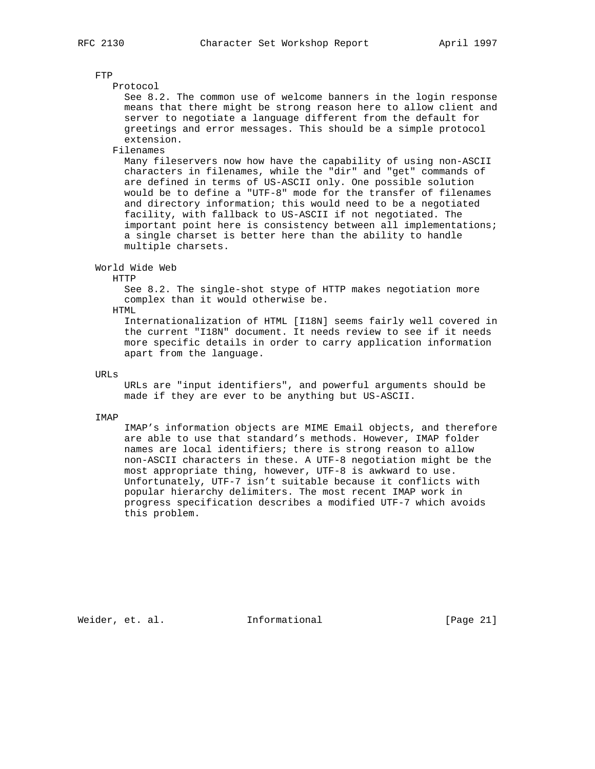# FTP

#### Protocol

 See 8.2. The common use of welcome banners in the login response means that there might be strong reason here to allow client and server to negotiate a language different from the default for greetings and error messages. This should be a simple protocol extension.

Filenames

 Many fileservers now how have the capability of using non-ASCII characters in filenames, while the "dir" and "get" commands of are defined in terms of US-ASCII only. One possible solution would be to define a "UTF-8" mode for the transfer of filenames and directory information; this would need to be a negotiated facility, with fallback to US-ASCII if not negotiated. The important point here is consistency between all implementations; a single charset is better here than the ability to handle multiple charsets.

## World Wide Web

HTTP

 See 8.2. The single-shot stype of HTTP makes negotiation more complex than it would otherwise be.

HTML

 Internationalization of HTML [I18N] seems fairly well covered in the current "I18N" document. It needs review to see if it needs more specific details in order to carry application information apart from the language.

#### URLs

 URLs are "input identifiers", and powerful arguments should be made if they are ever to be anything but US-ASCII.

#### IMAP

 IMAP's information objects are MIME Email objects, and therefore are able to use that standard's methods. However, IMAP folder names are local identifiers; there is strong reason to allow non-ASCII characters in these. A UTF-8 negotiation might be the most appropriate thing, however, UTF-8 is awkward to use. Unfortunately, UTF-7 isn't suitable because it conflicts with popular hierarchy delimiters. The most recent IMAP work in progress specification describes a modified UTF-7 which avoids this problem.

Weider, et. al. **Informational** [Page 21]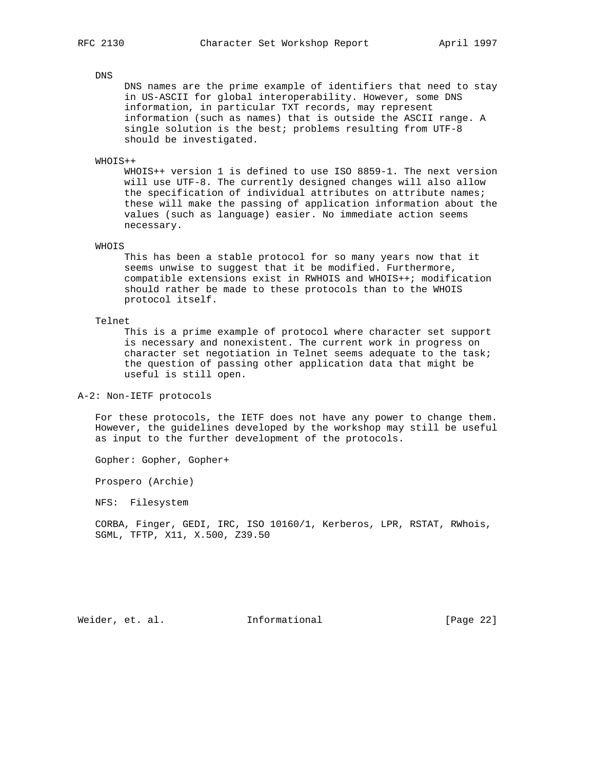#### DNS

 DNS names are the prime example of identifiers that need to stay in US-ASCII for global interoperability. However, some DNS information, in particular TXT records, may represent information (such as names) that is outside the ASCII range. A single solution is the best; problems resulting from UTF-8 should be investigated.

# WHOIS++

 WHOIS++ version 1 is defined to use ISO 8859-1. The next version will use UTF-8. The currently designed changes will also allow the specification of individual attributes on attribute names; these will make the passing of application information about the values (such as language) easier. No immediate action seems necessary.

#### WHOIS

 This has been a stable protocol for so many years now that it seems unwise to suggest that it be modified. Furthermore, compatible extensions exist in RWHOIS and WHOIS++; modification should rather be made to these protocols than to the WHOIS protocol itself.

#### Telnet

 This is a prime example of protocol where character set support is necessary and nonexistent. The current work in progress on character set negotiation in Telnet seems adequate to the task; the question of passing other application data that might be useful is still open.

# A-2: Non-IETF protocols

 For these protocols, the IETF does not have any power to change them. However, the guidelines developed by the workshop may still be useful as input to the further development of the protocols.

Gopher: Gopher, Gopher+

Prospero (Archie)

NFS: Filesystem

 CORBA, Finger, GEDI, IRC, ISO 10160/1, Kerberos, LPR, RSTAT, RWhois, SGML, TFTP, X11, X.500, Z39.50

Weider, et. al. **Informational** [Page 22]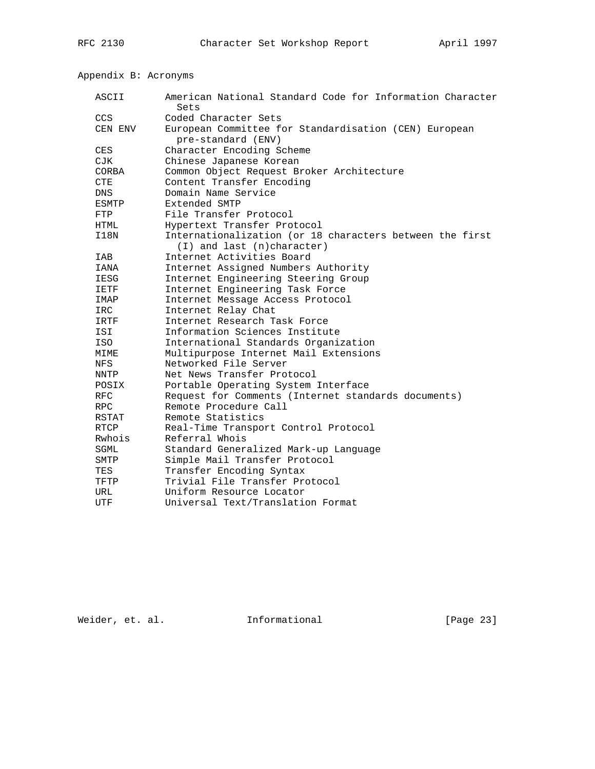| ASCII       | American National Standard Code for Information Character<br>Sets                           |
|-------------|---------------------------------------------------------------------------------------------|
| CCS         | Coded Character Sets                                                                        |
| CEN ENV     | European Committee for Standardisation (CEN) European<br>pre-standard (ENV)                 |
| CES         | Character Encoding Scheme                                                                   |
| <b>CJK</b>  | Chinese Japanese Korean                                                                     |
| CORBA       | Common Object Request Broker Architecture                                                   |
| CTE         | Content Transfer Encoding                                                                   |
| DNS         | Domain Name Service                                                                         |
| ESMTP       | Extended SMTP                                                                               |
| FTP         | File Transfer Protocol                                                                      |
| HTML        | Hypertext Transfer Protocol                                                                 |
| I18N        | Internationalization (or 18 characters between the first<br>$(I)$ and last $(n)$ character) |
| IAB         | Internet Activities Board                                                                   |
| IANA        | Internet Assigned Numbers Authority                                                         |
| IESG        | Internet Engineering Steering Group                                                         |
| <b>IETF</b> | Internet Engineering Task Force                                                             |
| IMAP        | Internet Message Access Protocol                                                            |
| IRC         | Internet Relay Chat                                                                         |
| IRTF        | Internet Research Task Force                                                                |
| ISI         | Information Sciences Institute                                                              |
| ISO         | International Standards Organization                                                        |
| MIME        | Multipurpose Internet Mail Extensions                                                       |
| NFS         | Networked File Server                                                                       |
| NNTP        | Net News Transfer Protocol                                                                  |
| POSIX       | Portable Operating System Interface                                                         |
| <b>RFC</b>  | Request for Comments (Internet standards documents)                                         |
| <b>RPC</b>  | Remote Procedure Call                                                                       |
| RSTAT       | Remote Statistics                                                                           |
| <b>RTCP</b> | Real-Time Transport Control Protocol                                                        |
| Rwhois      | Referral Whois                                                                              |
| SGML        | Standard Generalized Mark-up Language                                                       |
| SMTP        | Simple Mail Transfer Protocol                                                               |
| TES         | Transfer Encoding Syntax                                                                    |
| TFTP        | Trivial File Transfer Protocol                                                              |
| URL         | Uniform Resource Locator                                                                    |
| UTF         | Universal Text/Translation Format                                                           |

Weider, et. al. 1nformational 1999 [Page 23]

Appendix B: Acronyms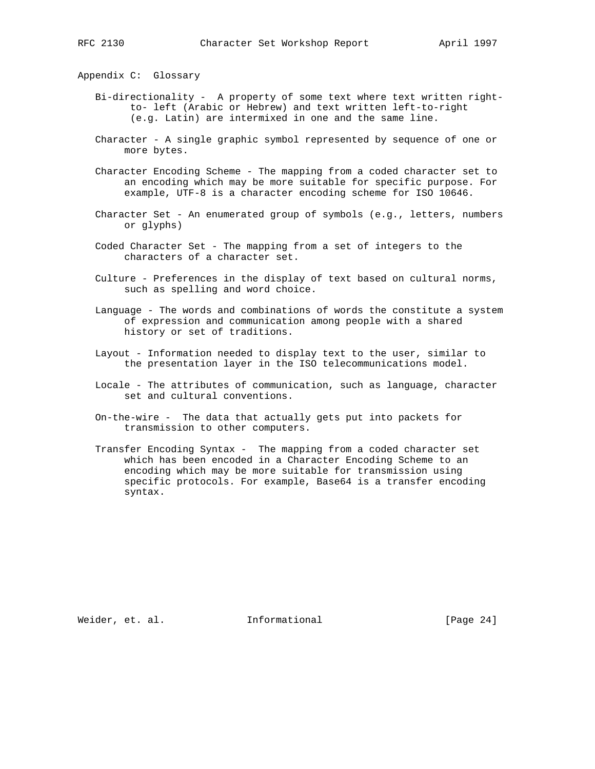Appendix C: Glossary

- Bi-directionality A property of some text where text written right to- left (Arabic or Hebrew) and text written left-to-right (e.g. Latin) are intermixed in one and the same line.
- Character A single graphic symbol represented by sequence of one or more bytes.
- Character Encoding Scheme The mapping from a coded character set to an encoding which may be more suitable for specific purpose. For example, UTF-8 is a character encoding scheme for ISO 10646.
- Character Set An enumerated group of symbols (e.g., letters, numbers or glyphs)
- Coded Character Set The mapping from a set of integers to the characters of a character set.
- Culture Preferences in the display of text based on cultural norms, such as spelling and word choice.
- Language The words and combinations of words the constitute a system of expression and communication among people with a shared history or set of traditions.
- Layout Information needed to display text to the user, similar to the presentation layer in the ISO telecommunications model.
- Locale The attributes of communication, such as language, character set and cultural conventions.
- On-the-wire The data that actually gets put into packets for transmission to other computers.
- Transfer Encoding Syntax The mapping from a coded character set which has been encoded in a Character Encoding Scheme to an encoding which may be more suitable for transmission using specific protocols. For example, Base64 is a transfer encoding syntax.

Weider, et. al. **Informational** [Page 24]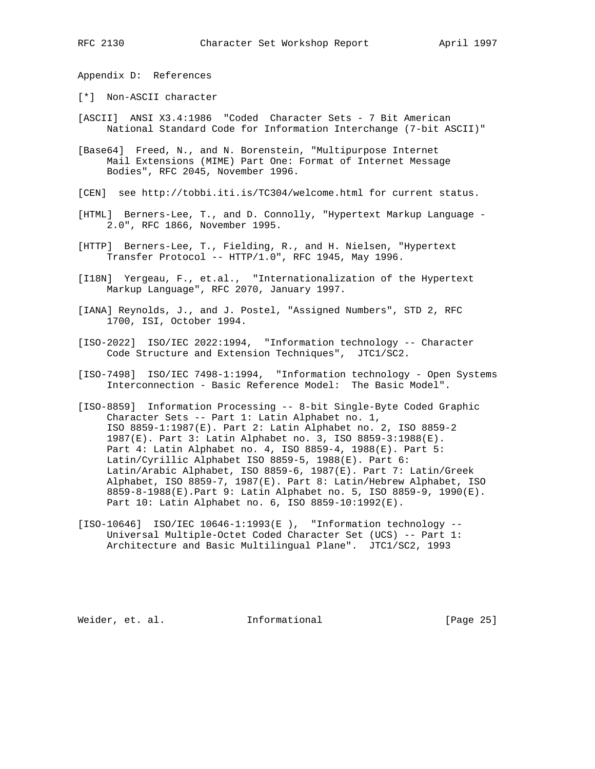Appendix D: References

- [\*] Non-ASCII character
- [ASCII] ANSI X3.4:1986 "Coded Character Sets 7 Bit American National Standard Code for Information Interchange (7-bit ASCII)"

[Base64] Freed, N., and N. Borenstein, "Multipurpose Internet Mail Extensions (MIME) Part One: Format of Internet Message Bodies", RFC 2045, November 1996.

- [CEN] see http://tobbi.iti.is/TC304/welcome.html for current status.
- [HTML] Berners-Lee, T., and D. Connolly, "Hypertext Markup Language 2.0", RFC 1866, November 1995.
- [HTTP] Berners-Lee, T., Fielding, R., and H. Nielsen, "Hypertext Transfer Protocol -- HTTP/1.0", RFC 1945, May 1996.
- [I18N] Yergeau, F., et.al., "Internationalization of the Hypertext Markup Language", RFC 2070, January 1997.
- [IANA] Reynolds, J., and J. Postel, "Assigned Numbers", STD 2, RFC 1700, ISI, October 1994.
- [ISO-2022] ISO/IEC 2022:1994, "Information technology -- Character Code Structure and Extension Techniques", JTC1/SC2.
- [ISO-7498] ISO/IEC 7498-1:1994, "Information technology Open Systems Interconnection - Basic Reference Model: The Basic Model".
- [ISO-8859] Information Processing -- 8-bit Single-Byte Coded Graphic Character Sets -- Part 1: Latin Alphabet no. 1, ISO 8859-1:1987(E). Part 2: Latin Alphabet no. 2, ISO 8859-2 1987(E). Part 3: Latin Alphabet no. 3, ISO 8859-3:1988(E). Part 4: Latin Alphabet no. 4, ISO 8859-4, 1988(E). Part 5: Latin/Cyrillic Alphabet ISO 8859-5, 1988(E). Part 6: Latin/Arabic Alphabet, ISO 8859-6, 1987(E). Part 7: Latin/Greek Alphabet, ISO 8859-7, 1987(E). Part 8: Latin/Hebrew Alphabet, ISO 8859-8-1988(E).Part 9: Latin Alphabet no. 5, ISO 8859-9, 1990(E). Part 10: Latin Alphabet no. 6, ISO 8859-10:1992(E).
- [ISO-10646] ISO/IEC 10646-1:1993(E ), "Information technology -- Universal Multiple-Octet Coded Character Set (UCS) -- Part 1: Architecture and Basic Multilingual Plane". JTC1/SC2, 1993

Weider, et. al. **Informational** [Page 25]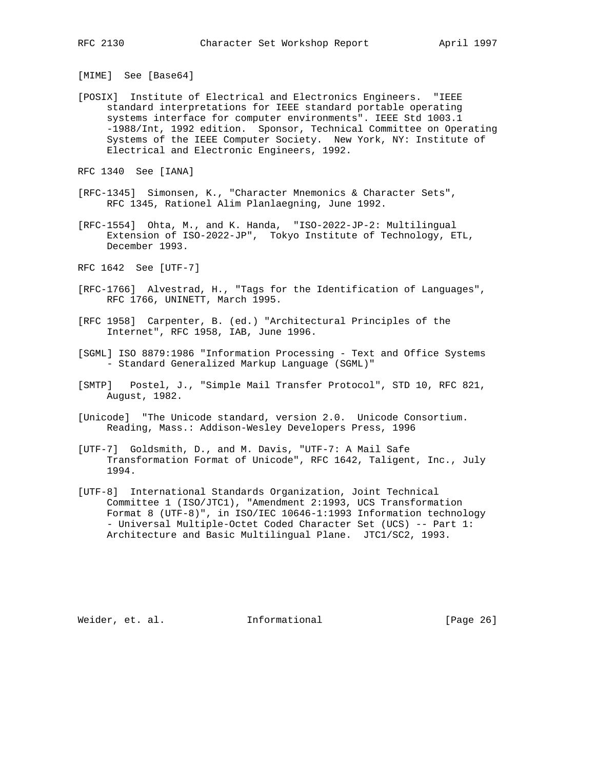[MIME] See [Base64]

[POSIX] Institute of Electrical and Electronics Engineers. "IEEE standard interpretations for IEEE standard portable operating systems interface for computer environments". IEEE Std 1003.1 -1988/Int, 1992 edition. Sponsor, Technical Committee on Operating Systems of the IEEE Computer Society. New York, NY: Institute of Electrical and Electronic Engineers, 1992.

RFC 1340 See [IANA]

- [RFC-1345] Simonsen, K., "Character Mnemonics & Character Sets", RFC 1345, Rationel Alim Planlaegning, June 1992.
- [RFC-1554] Ohta, M., and K. Handa, "ISO-2022-JP-2: Multilingual Extension of ISO-2022-JP", Tokyo Institute of Technology, ETL, December 1993.
- RFC 1642 See [UTF-7]
- [RFC-1766] Alvestrad, H., "Tags for the Identification of Languages", RFC 1766, UNINETT, March 1995.
- [RFC 1958] Carpenter, B. (ed.) "Architectural Principles of the Internet", RFC 1958, IAB, June 1996.
- [SGML] ISO 8879:1986 "Information Processing Text and Office Systems - Standard Generalized Markup Language (SGML)"
- [SMTP] Postel, J., "Simple Mail Transfer Protocol", STD 10, RFC 821, August, 1982.
- [Unicode] "The Unicode standard, version 2.0. Unicode Consortium. Reading, Mass.: Addison-Wesley Developers Press, 1996
- [UTF-7] Goldsmith, D., and M. Davis, "UTF-7: A Mail Safe Transformation Format of Unicode", RFC 1642, Taligent, Inc., July 1994.
- [UTF-8] International Standards Organization, Joint Technical Committee 1 (ISO/JTC1), "Amendment 2:1993, UCS Transformation Format 8 (UTF-8)", in ISO/IEC 10646-1:1993 Information technology - Universal Multiple-Octet Coded Character Set (UCS) -- Part 1: Architecture and Basic Multilingual Plane. JTC1/SC2, 1993.

Weider, et. al. **Informational** [Page 26]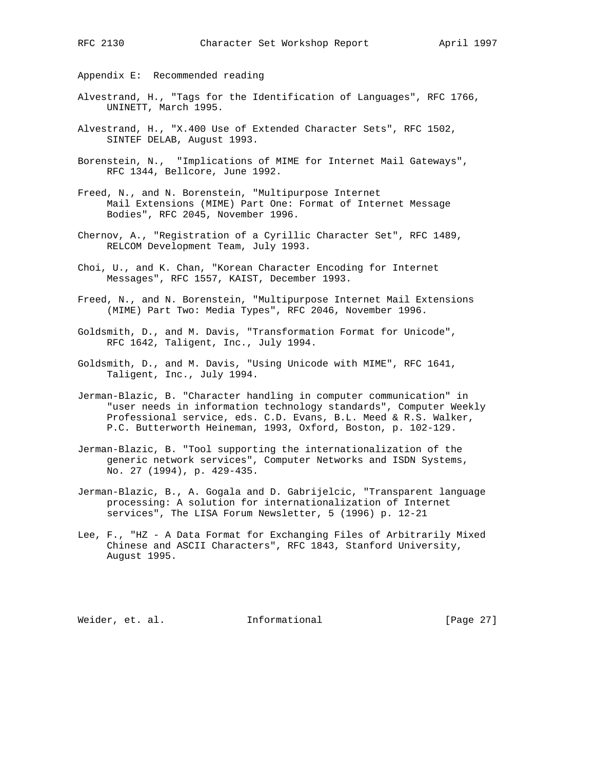Appendix E: Recommended reading

- Alvestrand, H., "Tags for the Identification of Languages", RFC 1766, UNINETT, March 1995.
- Alvestrand, H., "X.400 Use of Extended Character Sets", RFC 1502, SINTEF DELAB, August 1993.
- Borenstein, N., "Implications of MIME for Internet Mail Gateways", RFC 1344, Bellcore, June 1992.
- Freed, N., and N. Borenstein, "Multipurpose Internet Mail Extensions (MIME) Part One: Format of Internet Message Bodies", RFC 2045, November 1996.
- Chernov, A., "Registration of a Cyrillic Character Set", RFC 1489, RELCOM Development Team, July 1993.
- Choi, U., and K. Chan, "Korean Character Encoding for Internet Messages", RFC 1557, KAIST, December 1993.
- Freed, N., and N. Borenstein, "Multipurpose Internet Mail Extensions (MIME) Part Two: Media Types", RFC 2046, November 1996.
- Goldsmith, D., and M. Davis, "Transformation Format for Unicode", RFC 1642, Taligent, Inc., July 1994.
- Goldsmith, D., and M. Davis, "Using Unicode with MIME", RFC 1641, Taligent, Inc., July 1994.
- Jerman-Blazic, B. "Character handling in computer communication" in "user needs in information technology standards", Computer Weekly Professional service, eds. C.D. Evans, B.L. Meed & R.S. Walker, P.C. Butterworth Heineman, 1993, Oxford, Boston, p. 102-129.
- Jerman-Blazic, B. "Tool supporting the internationalization of the generic network services", Computer Networks and ISDN Systems, No. 27 (1994), p. 429-435.
- Jerman-Blazic, B., A. Gogala and D. Gabrijelcic, "Transparent language processing: A solution for internationalization of Internet services", The LISA Forum Newsletter, 5 (1996) p. 12-21
- Lee, F., "HZ A Data Format for Exchanging Files of Arbitrarily Mixed Chinese and ASCII Characters", RFC 1843, Stanford University, August 1995.

Weider, et. al. **Informational** [Page 27]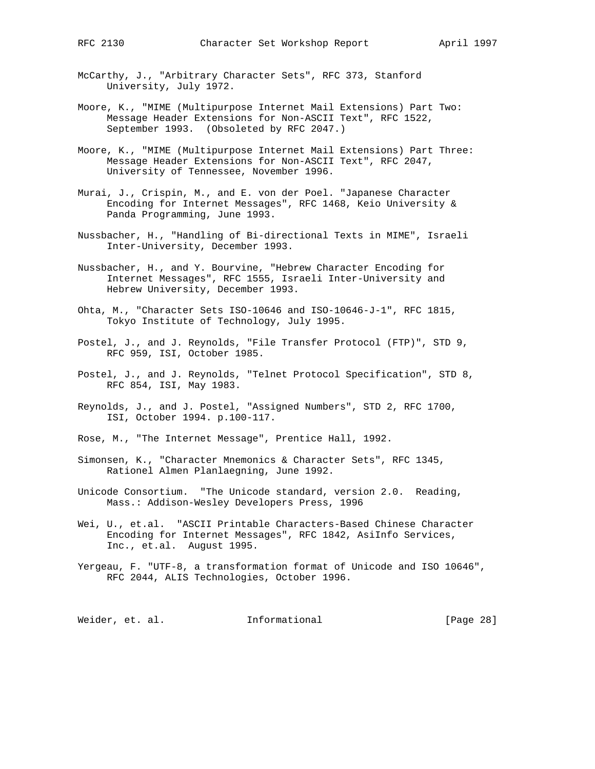- McCarthy, J., "Arbitrary Character Sets", RFC 373, Stanford University, July 1972.
- Moore, K., "MIME (Multipurpose Internet Mail Extensions) Part Two: Message Header Extensions for Non-ASCII Text", RFC 1522, September 1993. (Obsoleted by RFC 2047.)
- Moore, K., "MIME (Multipurpose Internet Mail Extensions) Part Three: Message Header Extensions for Non-ASCII Text", RFC 2047, University of Tennessee, November 1996.
- Murai, J., Crispin, M., and E. von der Poel. "Japanese Character Encoding for Internet Messages", RFC 1468, Keio University & Panda Programming, June 1993.
- Nussbacher, H., "Handling of Bi-directional Texts in MIME", Israeli Inter-University, December 1993.
- Nussbacher, H., and Y. Bourvine, "Hebrew Character Encoding for Internet Messages", RFC 1555, Israeli Inter-University and Hebrew University, December 1993.
- Ohta, M., "Character Sets ISO-10646 and ISO-10646-J-1", RFC 1815, Tokyo Institute of Technology, July 1995.
- Postel, J., and J. Reynolds, "File Transfer Protocol (FTP)", STD 9, RFC 959, ISI, October 1985.
- Postel, J., and J. Reynolds, "Telnet Protocol Specification", STD 8, RFC 854, ISI, May 1983.
- Reynolds, J., and J. Postel, "Assigned Numbers", STD 2, RFC 1700, ISI, October 1994. p.100-117.
- Rose, M., "The Internet Message", Prentice Hall, 1992.
- Simonsen, K., "Character Mnemonics & Character Sets", RFC 1345, Rationel Almen Planlaegning, June 1992.
- Unicode Consortium. "The Unicode standard, version 2.0. Reading, Mass.: Addison-Wesley Developers Press, 1996
- Wei, U., et.al. "ASCII Printable Characters-Based Chinese Character Encoding for Internet Messages", RFC 1842, AsiInfo Services, Inc., et.al. August 1995.
- Yergeau, F. "UTF-8, a transformation format of Unicode and ISO 10646", RFC 2044, ALIS Technologies, October 1996.

Weider, et. al. 10. Informational 1999 [Page 28]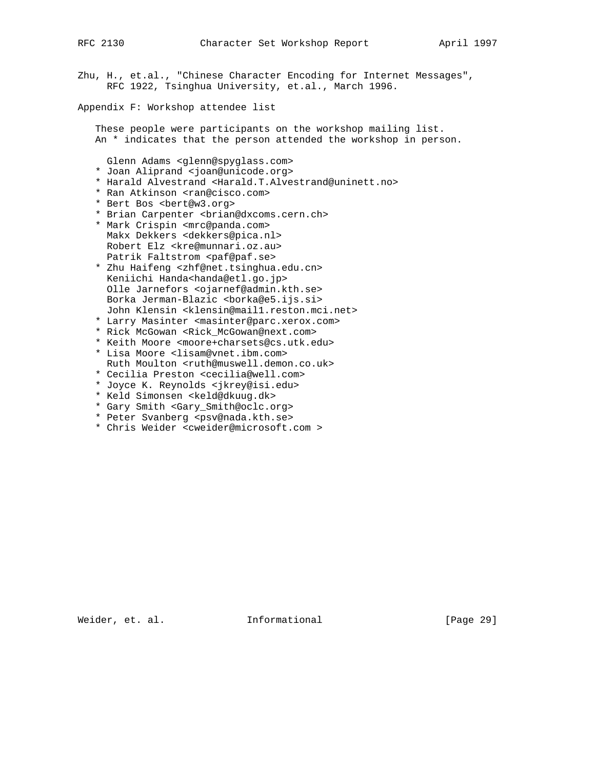Zhu, H., et.al., "Chinese Character Encoding for Internet Messages", RFC 1922, Tsinghua University, et.al., March 1996.

Appendix F: Workshop attendee list

 These people were participants on the workshop mailing list. An \* indicates that the person attended the workshop in person.

Glenn Adams <glenn@spyglass.com>

- \* Joan Aliprand <joan@unicode.org>
- \* Harald Alvestrand <Harald.T.Alvestrand@uninett.no>
- \* Ran Atkinson <ran@cisco.com>
- \* Bert Bos <bert@w3.org>
- \* Brian Carpenter <brian@dxcoms.cern.ch>
- \* Mark Crispin <mrc@panda.com> Makx Dekkers <dekkers@pica.nl> Robert Elz <kre@munnari.oz.au> Patrik Faltstrom <paf@paf.se>
- \* Zhu Haifeng <zhf@net.tsinghua.edu.cn> Keniichi Handa<handa@etl.go.jp> Olle Jarnefors <ojarnef@admin.kth.se> Borka Jerman-Blazic <borka@e5.ijs.si> John Klensin <klensin@mail1.reston.mci.net>
- \* Larry Masinter <masinter@parc.xerox.com>
- \* Rick McGowan <Rick\_McGowan@next.com>
- \* Keith Moore <moore+charsets@cs.utk.edu>
- \* Lisa Moore <lisam@vnet.ibm.com> Ruth Moulton <ruth@muswell.demon.co.uk>
- \* Cecilia Preston <cecilia@well.com>
- \* Joyce K. Reynolds <jkrey@isi.edu>
- \* Keld Simonsen <keld@dkuug.dk>
- \* Gary Smith <Gary\_Smith@oclc.org>
- \* Peter Svanberg <psv@nada.kth.se>
- \* Chris Weider <cweider@microsoft.com >

Weider, et. al. **Informational** [Page 29]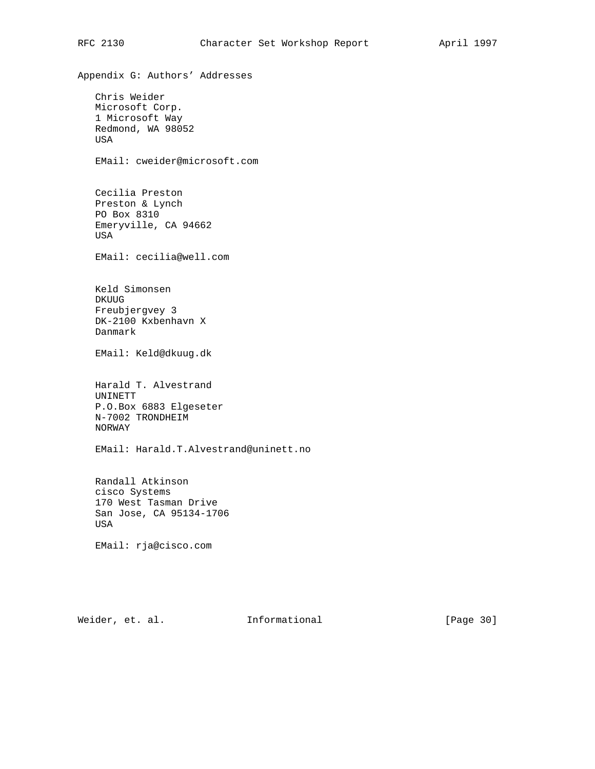Appendix G: Authors' Addresses Chris Weider Microsoft Corp. 1 Microsoft Way Redmond, WA 98052 USA EMail: cweider@microsoft.com Cecilia Preston Preston & Lynch PO Box 8310 Emeryville, CA 94662 USA EMail: cecilia@well.com Keld Simonsen DKUUG Freubjergvey 3 DK-2100 Kxbenhavn X Danmark EMail: Keld@dkuug.dk Harald T. Alvestrand UNINETT P.O.Box 6883 Elgeseter N-7002 TRONDHEIM NORWAY EMail: Harald.T.Alvestrand@uninett.no Randall Atkinson cisco Systems 170 West Tasman Drive San Jose, CA 95134-1706 USA EMail: rja@cisco.com

Weider, et. al. **Informational** [Page 30]